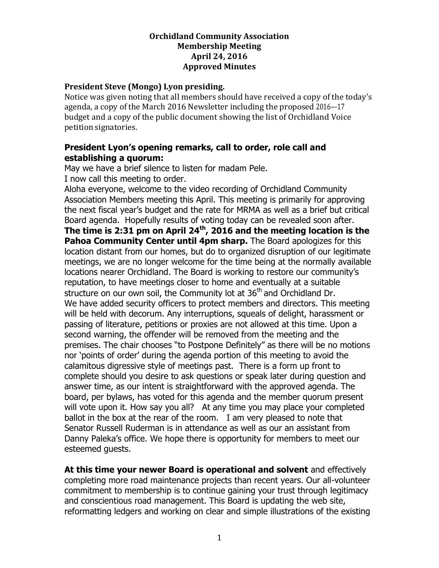### **Orchidland Community Association Membership Meeting April 24, 2016 Approved Minutes**

### **President Steve (Mongo) Lyon presiding.**

Notice was given noting that all members should have received a copy of the today's agenda, a copy of the March 2016 Newsletter including the proposed 2016---17 budget and a copy of the public document showing the list of Orchidland Voice petition signatories.

# **President Lyon's opening remarks, call to order, role call and establishing a quorum:**

May we have a brief silence to listen for madam Pele. I now call this meeting to order.

Aloha everyone, welcome to the video recording of Orchidland Community Association Members meeting this April. This meeting is primarily for approving the next fiscal year's budget and the rate for MRMA as well as a brief but critical Board agenda. Hopefully results of voting today can be revealed soon after. **The time is 2:31 pm on April 24th, 2016 and the meeting location is the Pahoa Community Center until 4pm sharp.** The Board apologizes for this location distant from our homes, but do to organized disruption of our legitimate meetings, we are no longer welcome for the time being at the normally available locations nearer Orchidland. The Board is working to restore our community's reputation, to have meetings closer to home and eventually at a suitable structure on our own soil, the Community lot at 36<sup>th</sup> and Orchidland Dr. We have added security officers to protect members and directors. This meeting will be held with decorum. Any interruptions, squeals of delight, harassment or passing of literature, petitions or proxies are not allowed at this time. Upon a second warning, the offender will be removed from the meeting and the premises. The chair chooses "to Postpone Definitely" as there will be no motions nor 'points of order' during the agenda portion of this meeting to avoid the calamitous digressive style of meetings past. There is a form up front to complete should you desire to ask questions or speak later during question and answer time, as our intent is straightforward with the approved agenda. The board, per bylaws, has voted for this agenda and the member quorum present will vote upon it. How say you all? At any time you may place your completed ballot in the box at the rear of the room. I am very pleased to note that Senator Russell Ruderman is in attendance as well as our an assistant from Danny Paleka's office. We hope there is opportunity for members to meet our esteemed guests.

**At this time your newer Board is operational and solvent** and effectively completing more road maintenance projects than recent years. Our all-volunteer commitment to membership is to continue gaining your trust through legitimacy and conscientious road management. This Board is updating the web site, reformatting ledgers and working on clear and simple illustrations of the existing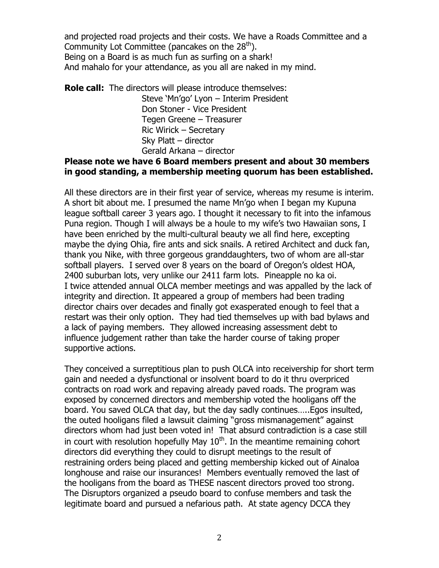and projected road projects and their costs. We have a Roads Committee and a Community Lot Committee (pancakes on the  $28<sup>th</sup>$ ). Being on a Board is as much fun as surfing on a shark! And mahalo for your attendance, as you all are naked in my mind.

**Role call:** The directors will please introduce themselves: Steve 'Mn'go' Lyon – Interim President Don Stoner - Vice President Tegen Greene – Treasurer Ric Wirick – Secretary Sky Platt – director Gerald Arkana – director

# **Please note we have 6 Board members present and about 30 members in good standing, a membership meeting quorum has been established.**

All these directors are in their first year of service, whereas my resume is interim. A short bit about me. I presumed the name Mn'go when I began my Kupuna league softball career 3 years ago. I thought it necessary to fit into the infamous Puna region. Though I will always be a houle to my wife's two Hawaiian sons, I have been enriched by the multi-cultural beauty we all find here, excepting maybe the dying Ohia, fire ants and sick snails. A retired Architect and duck fan, thank you Nike, with three gorgeous granddaughters, two of whom are all-star softball players. I served over 8 years on the board of Oregon's oldest HOA, 2400 suburban lots, very unlike our 2411 farm lots. Pineapple no ka oi. I twice attended annual OLCA member meetings and was appalled by the lack of integrity and direction. It appeared a group of members had been trading director chairs over decades and finally got exasperated enough to feel that a restart was their only option. They had tied themselves up with bad bylaws and a lack of paying members. They allowed increasing assessment debt to influence judgement rather than take the harder course of taking proper supportive actions.

They conceived a surreptitious plan to push OLCA into receivership for short term gain and needed a dysfunctional or insolvent board to do it thru overpriced contracts on road work and repaving already paved roads. The program was exposed by concerned directors and membership voted the hooligans off the board. You saved OLCA that day, but the day sadly continues…..Egos insulted, the outed hooligans filed a lawsuit claiming "gross mismanagement" against directors whom had just been voted in! That absurd contradiction is a case still in court with resolution hopefully May  $10<sup>th</sup>$ . In the meantime remaining cohort directors did everything they could to disrupt meetings to the result of restraining orders being placed and getting membership kicked out of Ainaloa longhouse and raise our insurances! Members eventually removed the last of the hooligans from the board as THESE nascent directors proved too strong. The Disruptors organized a pseudo board to confuse members and task the legitimate board and pursued a nefarious path. At state agency DCCA they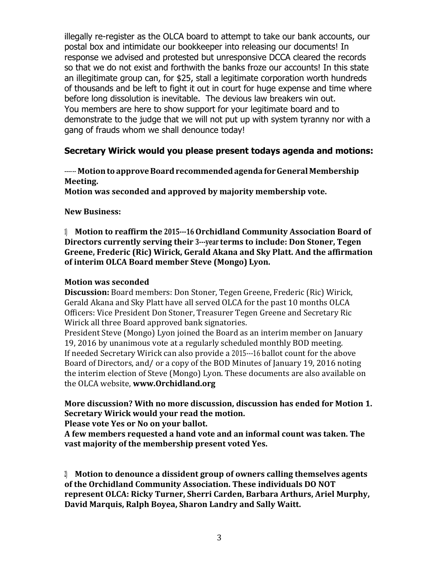illegally re-register as the OLCA board to attempt to take our bank accounts, our postal box and intimidate our bookkeeper into releasing our documents! In response we advised and protested but unresponsive DCCA cleared the records so that we do not exist and forthwith the banks froze our accounts! In this state an illegitimate group can, for \$25, stall a legitimate corporation worth hundreds of thousands and be left to fight it out in court for huge expense and time where before long dissolution is inevitable. The devious law breakers win out. You members are here to show support for your legitimate board and to demonstrate to the judge that we will not put up with system tyranny nor with a gang of frauds whom we shall denounce today!

## **Secretary Wirick would you please present todays agenda and motions:**

## **----- Motion to approve Board recommended agenda for General Membership Meeting.**

**Motion was seconded and approved by majority membership vote.** 

### **New Business:**

**1) Motion to reaffirm the 2015-16 Orchidland Community Association Board of Directors currently serving their 3-year terms to include: Don Stoner, Tegen Greene, Frederic (Ric) Wirick, Gerald Akana and Sky Platt. And the affirmation of interim OLCA Board member Steve (Mongo) Lyon.**

### **Motion was seconded**

**Discussion:** Board members: Don Stoner, Tegen Greene, Frederic (Ric) Wirick, Gerald Akana and Sky Platt have all served OLCA for the past 10 months OLCA Officers: Vice President Don Stoner, Treasurer Tegen Greene and Secretary Ric Wirick all three Board approved bank signatories.

President Steve (Mongo) Lyon joined the Board as an interim member on January 19, 2016 by unanimous vote at a regularly scheduled monthly BOD meeting. If needed Secretary Wirick can also provide a 2015--16 ballot count for the above Board of Directors, and/ or a copy of the BOD Minutes of January 19, 2016 noting the interim election of Steve (Mongo) Lyon. These documents are also available on the OLCA website, **[www.Orchidland.org](http://www.orchidland.org/)**

# **More discussion? With no more discussion, discussion has ended for Motion 1. Secretary Wirick would your read the motion.**

**Please vote Yes or No on your ballot.**

**A few members requested a hand vote and an informal count was taken. The vast majority of the membership present voted Yes.**

**2) Motion to denounce a dissident group of owners calling themselves agents of the Orchidland Community Association. These individuals DO NOT represent OLCA: Ricky Turner, Sherri Carden, Barbara Arthurs, Ariel Murphy, David Marquis, Ralph Boyea, Sharon Landry and Sally Waitt.**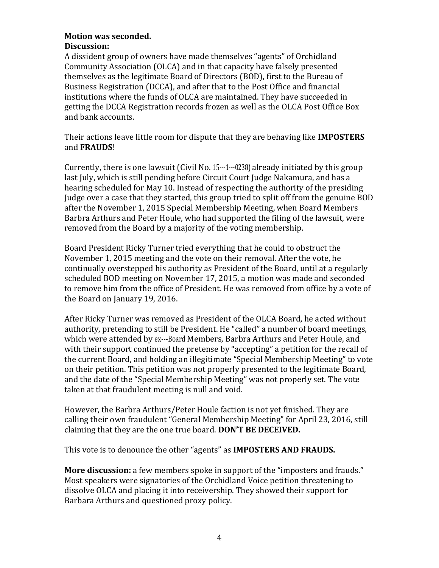#### **Motion was seconded. Discussion:**

A dissident group of owners have made themselves "agents" of Orchidland Community Association (OLCA) and in that capacity have falsely presented themselves as the legitimate Board of Directors (BOD), first to the Bureau of Business Registration (DCCA), and after that to the Post Office and financial institutions where the funds of OLCA are maintained. They have succeeded in getting the DCCA Registration records frozen as well as the OLCA Post Office Box and bank accounts.

Their actions leave little room for dispute that they are behaving like **IMPOSTERS** and **FRAUDS**!

Currently, there is one lawsuit (Civil No. 15--1---0238) already initiated by this group last July, which is still pending before Circuit Court Judge Nakamura, and has a hearing scheduled for May 10. Instead of respecting the authority of the presiding Judge over a case that they started, this group tried to split off from the genuine BOD after the November 1, 2015 Special Membership Meeting, when Board Members Barbra Arthurs and Peter Houle, who had supported the filing of the lawsuit, were removed from the Board by a majority of the voting membership.

Board President Ricky Turner tried everything that he could to obstruct the November 1, 2015 meeting and the vote on their removal. After the vote, he continually overstepped his authority as President of the Board, until at a regularly scheduled BOD meeting on November 17, 2015, a motion was made and seconded to remove him from the office of President. He was removed from office by a vote of the Board on January 19, 2016.

After Ricky Turner was removed as President of the OLCA Board, he acted without authority, pretending to still be President. He "called" a number of board meetings, which were attended by ex---Board Members, Barbra Arthurs and Peter Houle, and with their support continued the pretense by "accepting" a petition for the recall of the current Board, and holding an illegitimate "Special Membership Meeting" to vote on their petition. This petition was not properly presented to the legitimate Board, and the date of the "Special Membership Meeting" was not properly set. The vote taken at that fraudulent meeting is null and void.

However, the Barbra Arthurs/Peter Houle faction is not yet finished. They are calling their own fraudulent "General Membership Meeting" for April 23, 2016, still claiming that they are the one true board. **DON'T BE DECEIVED.**

This vote is to denounce the other "agents" as **IMPOSTERS AND FRAUDS.**

**More discussion:** a few members spoke in support of the "imposters and frauds." Most speakers were signatories of the Orchidland Voice petition threatening to dissolve OLCA and placing it into receivership. They showed their support for Barbara Arthurs and questioned proxy policy.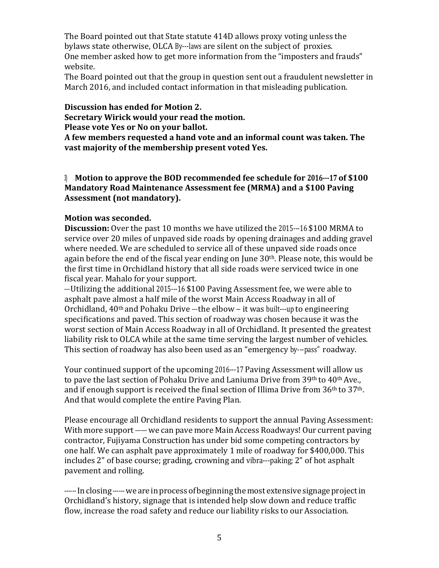The Board pointed out that State statute 414D allows proxy voting unless the bylaws state otherwise, OLCA By-laws are silent on the subject of proxies. One member asked how to get more information from the "imposters and frauds" website.

The Board pointed out that the group in question sent out a fraudulent newsletter in March 2016, and included contact information in that misleading publication.

**Discussion has ended for Motion 2. Secretary Wirick would your read the motion. Please vote Yes or No on your ballot.**

**A few members requested a hand vote and an informal count was taken. The vast majority of the membership present voted Yes.**

**3) Motion to approve the BOD recommended fee schedule for 2016-17 of \$100 Mandatory Road Maintenance Assessment fee (MRMA) and a \$100 Paving Assessment (not mandatory).**

## **Motion was seconded.**

**Discussion:** Over the past 10 months we have utilized the 2015--16 \$100 MRMA to service over 20 miles of unpaved side roads by opening drainages and adding gravel where needed. We are scheduled to service all of these unpaved side roads once again before the end of the fiscal year ending on June 30<sup>th</sup>. Please note, this would be the first time in Orchidland history that all side roads were serviced twice in one fiscal year. Mahalo for your support.

-- Utilizing the additional 2015-16 \$100 Paving Assessment fee, we were able to asphalt pave almost a half mile of the worst Main Access Roadway in all of Orchidland,  $40<sup>th</sup>$  and Pohaku Drive --- the elbow – it was built---up to engineering specifications and paved. This section of roadway was chosen because it was the worst section of Main Access Roadway in all of Orchidland. It presented the greatest liability risk to OLCA while at the same time serving the largest number of vehicles. This section of roadway has also been used as an "emergency by---pass" roadway.

Your continued support of the upcoming 2016---17 Paving Assessment will allow us to pave the last section of Pohaku Drive and Laniuma Drive from 39<sup>th</sup> to 40<sup>th</sup> Ave., and if enough support is received the final section of Illima Drive from 36th to 37th. And that would complete the entire Paving Plan.

Please encourage all Orchidland residents to support the annual Paving Assessment: With more support ------ we can pave more Main Access Roadways! Our current paving contractor, Fujiyama Construction has under bid some competing contractors by one half. We can asphalt pave approximately 1 mile of roadway for \$400,000. This includes 2" of base course; grading, crowning and vibra---paking; 2" of hot asphalt pavement and rolling.

------In closing ------ we are in process of beginning the most extensive signage project in Orchidland's history, signage that is intended help slow down and reduce traffic flow, increase the road safety and reduce our liability risks to our Association.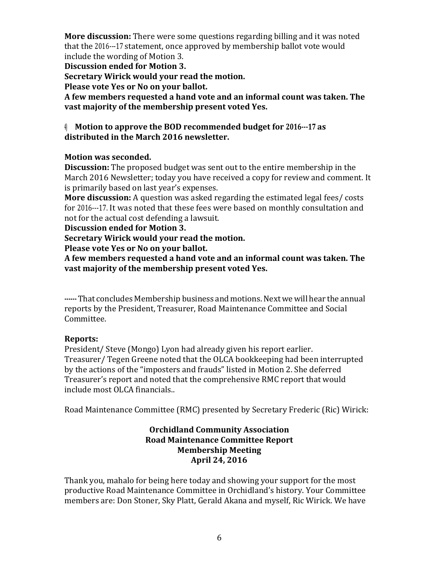**More discussion:** There were some questions regarding billing and it was noted that the 2016-17 statement, once approved by membership ballot vote would include the wording of Motion 3.

**Discussion ended for Motion 3.**

**Secretary Wirick would your read the motion.** 

**Please vote Yes or No on your ballot.**

**A few members requested a hand vote and an informal count was taken. The vast majority of the membership present voted Yes.**

# **4) Motion to approve the BOD recommended budget for 2016-17 as distributed in the March 2016 newsletter.**

## **Motion was seconded.**

**Discussion:** The proposed budget was sent out to the entire membership in the March 2016 Newsletter; today you have received a copy for review and comment. It is primarily based on last year's expenses.

**More discussion:** A question was asked regarding the estimated legal fees/ costs for 2016-17. It was noted that these fees were based on monthly consultation and not for the actual cost defending a lawsuit.

**Discussion ended for Motion 3.**

**Secretary Wirick would your read the motion.** 

**Please vote Yes or No on your ballot.**

**A few members requested a hand vote and an informal count was taken. The vast majority of the membership present voted Yes.**

**--** That concludes Membership business and motions.Nextwewill hear the annual reports by the President, Treasurer, Road Maintenance Committee and Social Committee.

# **Reports:**

President/ Steve (Mongo) Lyon had already given his report earlier. Treasurer/ Tegen Greene noted that the OLCA bookkeeping had been interrupted by the actions of the "imposters and frauds" listed in Motion 2. She deferred Treasurer's report and noted that the comprehensive RMC report that would include most OLCA financials..

Road Maintenance Committee (RMC) presented by Secretary Frederic (Ric) Wirick:

### **Orchidland Community Association Road Maintenance Committee Report Membership Meeting April 24, 2016**

Thank you, mahalo for being here today and showing your support for the most productive Road Maintenance Committee in Orchidland's history. Your Committee members are: Don Stoner, Sky Platt, Gerald Akana and myself, Ric Wirick. We have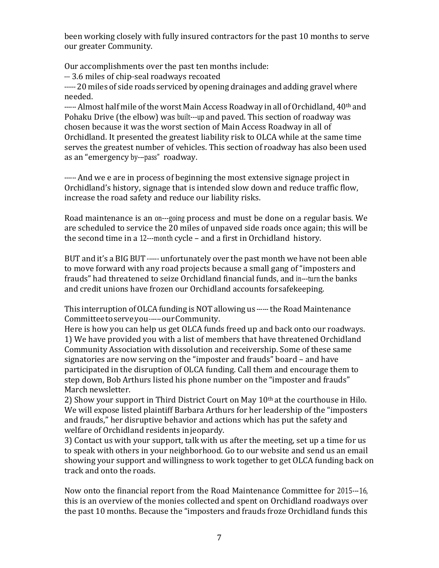been working closely with fully insured contractors for the past 10 months to serve our greater Community.

Our accomplishments over the past ten months include:

-3.6 miles of chip-seal roadways recoated

----- 20 miles of side roads serviced by opening drainages and adding gravel where needed.

------ Almost half mile of the worst Main Access Roadway in all of Orchidland, 40<sup>th</sup> and Pohaku Drive (the elbow) was built---up and paved. This section of roadway was chosen because it was the worst section of Main Access Roadway in all of Orchidland. It presented the greatest liability risk to OLCA while at the same time serves the greatest number of vehicles. This section of roadway has also been used as an "emergency by---pass" roadway.

------ And we e are in process of beginning the most extensive signage project in Orchidland's history, signage that is intended slow down and reduce traffic flow, increase the road safety and reduce our liability risks.

Road maintenance is an on---going process and must be done on a regular basis. We are scheduled to service the 20 miles of unpaved side roads once again; this will be the second time in a 12---month cycle – and a first in Orchidland history.

BUT and it's a BIG BUT ------ unfortunately over the past month we have not been able to move forward with any road projects because a small gang of "imposters and frauds" had threatened to seize Orchidland financial funds, and in-turn the banks and credit unions have frozen our Orchidland accounts forsafekeeping.

This interruption of OLCA funding is NOT allowing us ------ the Road Maintenance Committee to serve you ------ our Community.

Here is how you can help us get OLCA funds freed up and back onto our roadways. 1) We have provided you with a list of members that have threatened Orchidland Community Association with dissolution and receivership. Some of these same signatories are now serving on the "imposter and frauds" board – and have participated in the disruption of OLCA funding. Call them and encourage them to step down, Bob Arthurs listed his phone number on the "imposter and frauds" March newsletter.

2) Show your support in Third District Court on May 10th at the courthouse in Hilo. We will expose listed plaintiff Barbara Arthurs for her leadership of the "imposters and frauds," her disruptive behavior and actions which has put the safety and welfare of Orchidland residents injeopardy.

3) Contact us with your support, talk with us after the meeting, set up a time for us to speak with others in your neighborhood. Go to our website and send us an email showing your support and willingness to work together to get OLCA funding back on track and onto the roads.

Now onto the financial report from the Road Maintenance Committee for 2015---16, this is an overview of the monies collected and spent on Orchidland roadways over the past 10 months. Because the "imposters and frauds froze Orchidland funds this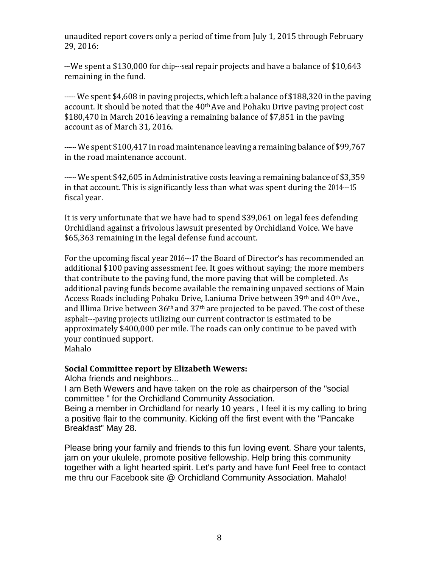unaudited report covers only a period of time from July 1, 2015 through February 29, 2016:

-- We spent a \$130,000 for chip---seal repair projects and have a balance of \$10,643 remaining in the fund.

----- We spent \$4,608 in paving projects, which left a balance of \$188,320 in the paving account. It should be noted that the 40<sup>th</sup> Ave and Pohaku Drive paving project cost \$180,470 in March 2016 leaving a remaining balance of \$7,851 in the paving account as of March 31, 2016.

----- We spent \$100,417 in road maintenance leaving a remaining balance of \$99,767 in the road maintenance account.

----- We spent \$42,605 in Administrative costs leaving a remaining balance of \$3,359 in that account. This is significantly less than what was spent during the 2014--15 fiscal year.

It is very unfortunate that we have had to spend \$39,061 on legal fees defending Orchidland against a frivolous lawsuit presented by Orchidland Voice. We have \$65,363 remaining in the legal defense fund account.

For the upcoming fiscal year 2016-17 the Board of Director's has recommended an additional \$100 paving assessment fee. It goes without saying; the more members that contribute to the paving fund, the more paving that will be completed. As additional paving funds become available the remaining unpaved sections of Main Access Roads including Pohaku Drive, Laniuma Drive between 39th and 40th Ave., and Illima Drive between  $36<sup>th</sup>$  and  $37<sup>th</sup>$  are projected to be paved. The cost of these asphalt---paving projects utilizing our current contractor is estimated to be approximately \$400,000 per mile. The roads can only continue to be paved with your continued support. Mahalo

**Social Committee report by Elizabeth Wewers:**

Aloha friends and neighbors...

I am Beth Wewers and have taken on the role as chairperson of the "social committee " for the Orchidland Community Association.

Being a member in Orchidland for nearly 10 years , I feel it is my calling to bring a positive flair to the community. Kicking off the first event with the "Pancake Breakfast" May 28.

Please bring your family and friends to this fun loving event. Share your talents, jam on your ukulele, promote positive fellowship. Help bring this community together with a light hearted spirit. Let's party and have fun! Feel free to contact me thru our Facebook site @ Orchidland Community Association. Mahalo!